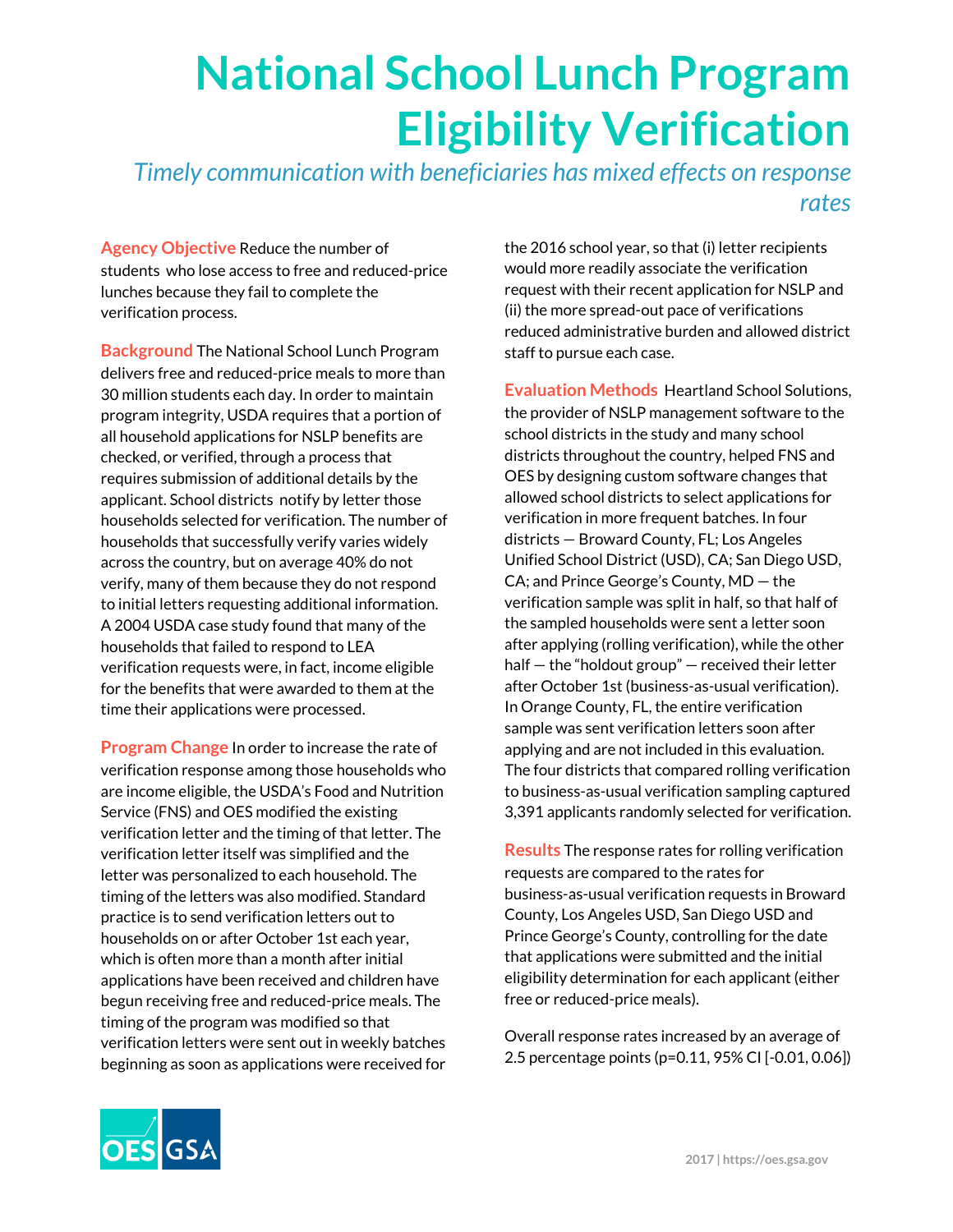## **National School Lunch Program Eligibility Verification**

*Timely communication with beneficiaries has mixed effects on response rates*

**Agency Objective** Reduce the number of students who lose access to free and reduced-price lunches because they fail to complete the verification process.

**Background** The National School Lunch Program delivers free and reduced-price meals to more than 30 million students each day. In order to maintain program integrity, USDA requires that a portion of all household applications for NSLP benefits are checked, or verified, through a process that requires submission of additional details by the applicant. School districts notify by letter those households selected for verification. The number of households that successfully verify varies widely across the country, but on average 40% do not verify, many of them because they do not respond to initial letters requesting additional information. A 2004 USDA case study found that many of the households that failed to respond to LEA verification requests were, in fact, income eligible for the benefits that were awarded to them at the time their applications were processed.

**Program Change** In order to increase the rate of verification response among those households who are income eligible, the USDA's Food and Nutrition Service (FNS) and OES modified the existing verification letter and the timing of that letter. The verification letter itself was simplified and the letter was personalized to each household. The timing of the letters was also modified. Standard practice is to send verification letters out to households on or after October 1st each year, which is often more than a month after initial applications have been received and children have begun receiving free and reduced-price meals. The timing of the program was modified so that verification letters were sent out in weekly batches beginning as soon as applications were received for the 2016 school year, so that (i) letter recipients would more readily associate the verification request with their recent application for NSLP and (ii) the more spread-out pace of verifications reduced administrative burden and allowed district staff to pursue each case.

**Evaluation Methods** Heartland School Solutions, the provider of NSLP management software to the school districts in the study and many school districts throughout the country, helped FNS and OES by designing custom software changes that allowed school districts to select applications for verification in more frequent batches. In four districts — Broward County, FL; Los Angeles Unified School District (USD), CA; San Diego USD, CA; and Prince George's County, MD — the verification sample was split in half, so that half of the sampled households were sent a letter soon after applying (rolling verification), while the other half — the "holdout group" — received their letter after October 1st (business-as-usual verification). In Orange County, FL, the entire verification sample was sent verification letters soon after applying and are not included in this evaluation. The four districts that compared rolling verification to business-as-usual verification sampling captured 3,391 applicants randomly selected for verification.

**Results** The response rates for rolling verification requests are compared to the rates for business-as-usual verification requests in Broward County, Los Angeles USD, San Diego USD and Prince George's County, controlling for the date that applications were submitted and the initial eligibility determination for each applicant (either free or reduced-price meals).

Overall response rates increased by an average of 2.5 percentage points (p=0.11, 95% CI [-0.01, 0.06])